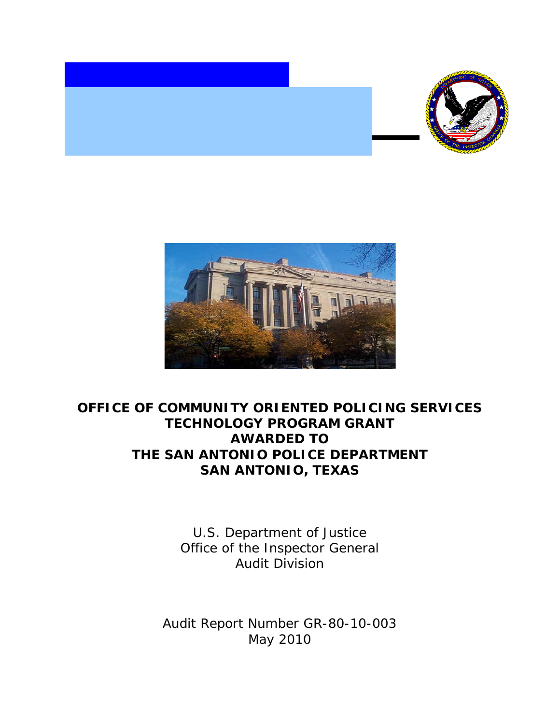



## **OFFICE OF COMMUNITY ORIENTED POLICING SERVICES TECHNOLOGY PROGRAM GRANT AWARDED TO THE SAN ANTONIO POLICE DEPARTMENT SAN ANTONIO, TEXAS**

U.S. Department of Justice Office of the Inspector General Audit Division

Audit Report Number GR-80-10-003 May 2010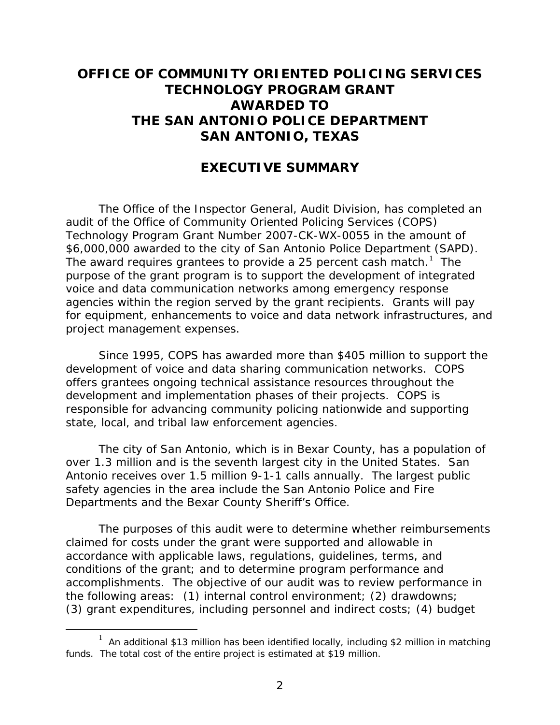## **OFFICE OF COMMUNITY ORIENTED POLICING SERVICES TECHNOLOGY PROGRAM GRANT AWARDED TO THE SAN ANTONIO POLICE DEPARTMENT SAN ANTONIO, TEXAS**

## **EXECUTIVE SUMMARY**

The Office of the Inspector General, Audit Division, has completed an audit of the Office of Community Oriented Policing Services (COPS) Technology Program Grant Number 2007-CK-WX-0055 in the amount of \$6,000,000 awarded to the city of San Antonio Police Department (SAPD). The award requires grantees to provide a 25 percent cash match.<sup>[1](#page-1-0)</sup> The purpose of the grant program is to support the development of integrated voice and data communication networks among emergency response agencies within the region served by the grant recipients. Grants will pay for equipment, enhancements to voice and data network infrastructures, and project management expenses.

Since 1995, COPS has awarded more than \$405 million to support the development of voice and data sharing communication networks. COPS offers grantees ongoing technical assistance resources throughout the development and implementation phases of their projects. COPS is responsible for advancing community policing nationwide and supporting state, local, and tribal law enforcement agencies.

The city of San Antonio, which is in Bexar County, has a population of over 1.3 million and is the seventh largest city in the United States. San Antonio receives over 1.5 million 9-1-1 calls annually. The largest public safety agencies in the area include the San Antonio Police and Fire Departments and the Bexar County Sheriff's Office.

The purposes of this audit were to determine whether reimbursements claimed for costs under the grant were supported and allowable in accordance with applicable laws, regulations, guidelines, terms, and conditions of the grant; and to determine program performance and accomplishments. The objective of our audit was to review performance in the following areas: (1) internal control environment; (2) drawdowns; (3) grant expenditures, including personnel and indirect costs; (4) budget

<span id="page-1-0"></span><sup>1&</sup>lt;sup>1</sup>  $1$  An additional \$13 million has been identified locally, including \$2 million in matching funds. The total cost of the entire project is estimated at \$19 million.